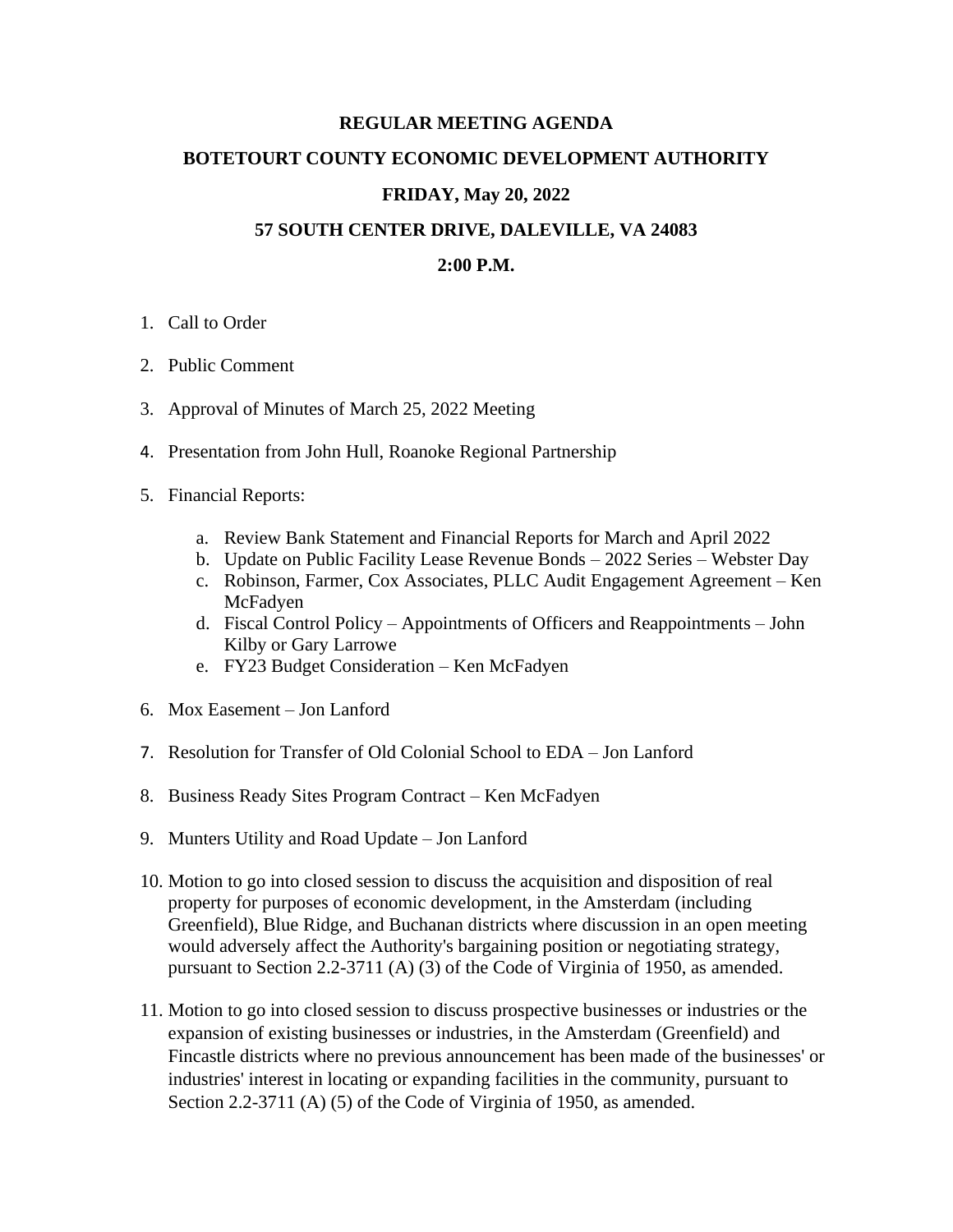# **REGULAR MEETING AGENDA**

### **BOTETOURT COUNTY ECONOMIC DEVELOPMENT AUTHORITY**

#### **FRIDAY, May 20, 2022**

### **57 SOUTH CENTER DRIVE, DALEVILLE, VA 24083**

# **2:00 P.M.**

- 1. Call to Order
- 2. Public Comment
- 3. Approval of Minutes of March 25, 2022 Meeting
- 4. Presentation from John Hull, Roanoke Regional Partnership
- 5. Financial Reports:
	- a. Review Bank Statement and Financial Reports for March and April 2022
	- b. Update on Public Facility Lease Revenue Bonds 2022 Series Webster Day
	- c. Robinson, Farmer, Cox Associates, PLLC Audit Engagement Agreement Ken McFadyen
	- d. Fiscal Control Policy Appointments of Officers and Reappointments John Kilby or Gary Larrowe
	- e. FY23 Budget Consideration Ken McFadyen
- 6. Mox Easement Jon Lanford
- 7. Resolution for Transfer of Old Colonial School to EDA Jon Lanford
- 8. Business Ready Sites Program Contract Ken McFadyen
- 9. Munters Utility and Road Update Jon Lanford
- 10. Motion to go into closed session to discuss the acquisition and disposition of real property for purposes of economic development, in the Amsterdam (including Greenfield), Blue Ridge, and Buchanan districts where discussion in an open meeting would adversely affect the Authority's bargaining position or negotiating strategy, pursuant to Section 2.2-3711 (A) (3) of the Code of Virginia of 1950, as amended.
- 11. Motion to go into closed session to discuss prospective businesses or industries or the expansion of existing businesses or industries, in the Amsterdam (Greenfield) and Fincastle districts where no previous announcement has been made of the businesses' or industries' interest in locating or expanding facilities in the community, pursuant to Section 2.2-3711 (A) (5) of the Code of Virginia of 1950, as amended.